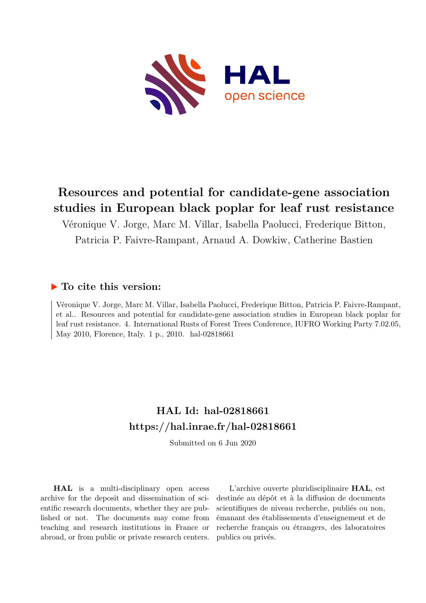

## **Resources and potential for candidate-gene association studies in European black poplar for leaf rust resistance**

Véronique V. Jorge, Marc M. Villar, Isabella Paolucci, Frederique Bitton, Patricia P. Faivre-Rampant, Arnaud A. Dowkiw, Catherine Bastien

### **To cite this version:**

Véronique V. Jorge, Marc M. Villar, Isabella Paolucci, Frederique Bitton, Patricia P. Faivre-Rampant, et al.. Resources and potential for candidate-gene association studies in European black poplar for leaf rust resistance. 4. International Rusts of Forest Trees Conference, IUFRO Working Party 7.02.05, May 2010, Florence, Italy. 1 p., 2010. hal-02818661

## **HAL Id: hal-02818661 <https://hal.inrae.fr/hal-02818661>**

Submitted on 6 Jun 2020

**HAL** is a multi-disciplinary open access archive for the deposit and dissemination of scientific research documents, whether they are published or not. The documents may come from teaching and research institutions in France or abroad, or from public or private research centers.

L'archive ouverte pluridisciplinaire **HAL**, est destinée au dépôt et à la diffusion de documents scientifiques de niveau recherche, publiés ou non, émanant des établissements d'enseignement et de recherche français ou étrangers, des laboratoires publics ou privés.